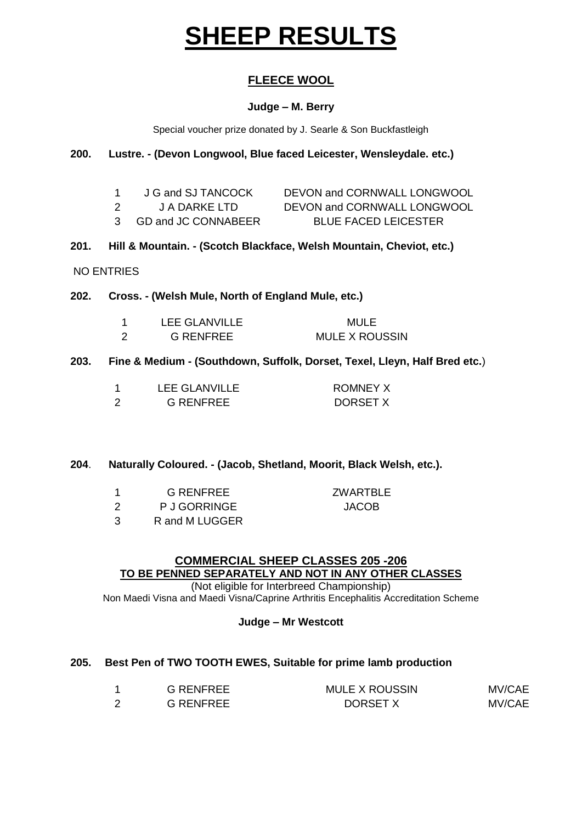# **SHEEP RESULTS**

# **FLEECE WOOL**

## **Judge – M. Berry**

Special voucher prize donated by J. Searle & Son Buckfastleigh

## **200. Lustre. - (Devon Longwool, Blue faced Leicester, Wensleydale. etc.)**

|     | J G and SJ TANCOCK | DEVON and CORNWALL LONGWOOL |
|-----|--------------------|-----------------------------|
| - 2 | J A DARKE LTD      | DEVON and CORNWALL LONGWOOL |

- 3 GD and JC CONNABEER BLUE FACED LEICESTER
- **201. Hill & Mountain. - (Scotch Blackface, Welsh Mountain, Cheviot, etc.)**
- NO ENTRIES

## **202. Cross. - (Welsh Mule, North of England Mule, etc.)**

- 1 LEE GLANVILLE MULE 2 G RENFREE MULE X ROUSSIN
- **203. Fine & Medium - (Southdown, Suffolk, Dorset, Texel, Lleyn, Half Bred etc.**)

| LEE GLANVILLE | <b>ROMNEY X</b> |
|---------------|-----------------|
| G RENFREE     | DORSET X        |

## **204**. **Naturally Coloured. - (Jacob, Shetland, Moorit, Black Welsh, etc.).**

| <b>G RENFREE</b> |  |
|------------------|--|
|                  |  |

2 P J GORRINGE JACOB

**ZWARTBLE** 

3 R and M LUGGER

#### **COMMERCIAL SHEEP CLASSES 205 -206 TO BE PENNED SEPARATELY AND NOT IN ANY OTHER CLASSES**  (Not eligible for Interbreed Championship)

Non Maedi Visna and Maedi Visna/Caprine Arthritis Encephalitis Accreditation Scheme

## **Judge – Mr Westcott**

## **205. Best Pen of TWO TOOTH EWES, Suitable for prime lamb production**

| <b>G RENFREE</b> | <b>MULE X ROUSSIN</b> | MV/CAE |
|------------------|-----------------------|--------|
| <b>G RENFREE</b> | DORSET X              | MV/CAE |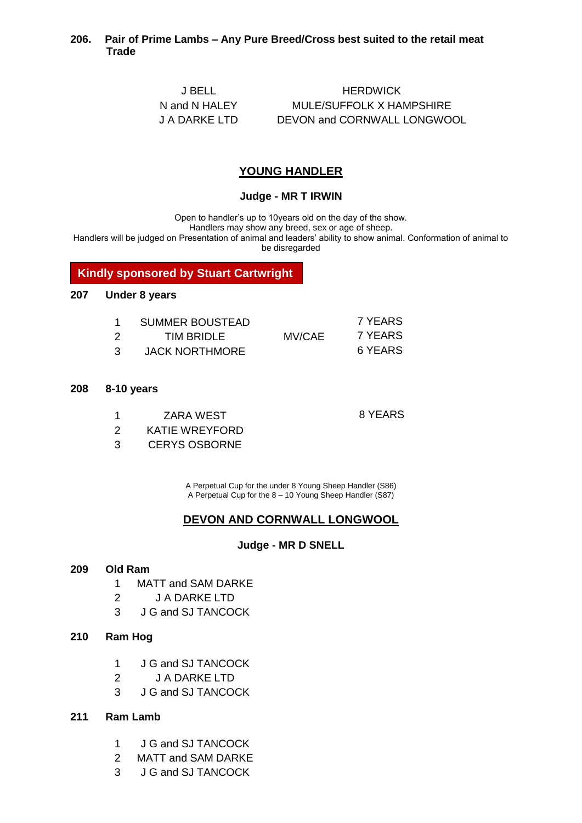## **206. Pair of Prime Lambs – Any Pure Breed/Cross best suited to the retail meat Trade**

J BELL HERDWICK N and N HALEY MULE/SUFFOLK X HAMPSHIRE J A DARKE LTD DEVON and CORNWALL LONGWOOL

## **YOUNG HANDLER**

#### **Judge - MR T IRWIN**

Open to handler's up to 10years old on the day of the show.

Handlers may show any breed, sex or age of sheep.

Handlers will be judged on Presentation of animal and leaders' ability to show animal. Conformation of animal to be disregarded

**Kindly sponsored by Stuart Cartwright**

#### **207 Under 8 years**

|    | SUMMER BOUSTEAD       |        | 7 YEARS |
|----|-----------------------|--------|---------|
| 2  | TIM BRIDLE            | MV/CAE | 7 YEARS |
| 3. | <b>JACK NORTHMORE</b> |        | 6 YEARS |

#### **208 8-10 years**

1 ZARA WEST 8 YEARS

- 2 KATIE WREYFORD
- 3 CERYS OSBORNE

A Perpetual Cup for the under 8 Young Sheep Handler (S86) A Perpetual Cup for the 8 – 10 Young Sheep Handler (S87)

## **DEVON AND CORNWALL LONGWOOL**

#### **Judge - MR D SNELL**

#### **209 Old Ram**

- 1 MATT and SAM DARKE
- 2 J A DARKE LTD
- 3 J G and SJ TANCOCK

#### **210 Ram Hog**

- 1 J G and SJ TANCOCK
- 2 J A DARKE LTD
- 3 J G and SJ TANCOCK
- **211 Ram Lamb**
	- 1 J G and SJ TANCOCK
	- 2 MATT and SAM DARKE
	- 3 J G and SJ TANCOCK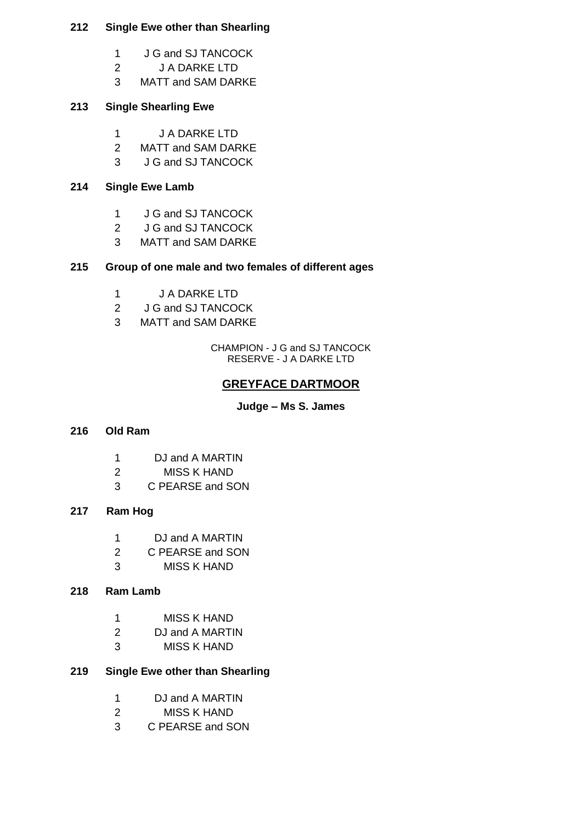## **Single Ewe other than Shearling**

- 1 J G and SJ TANCOCK
- J A DARKE LTD
- MATT and SAM DARKE

## **Single Shearling Ewe**

- J A DARKE LTD
- MATT and SAM DARKE
- J G and SJ TANCOCK

## **Single Ewe Lamb**

- J G and SJ TANCOCK
- J G and SJ TANCOCK
- MATT and SAM DARKE

## **Group of one male and two females of different ages**

- J A DARKE LTD
- 2 J G and SJ TANCOCK
- MATT and SAM DARKE

CHAMPION - J G and SJ TANCOCK RESERVE - J A DARKE LTD

# **GREYFACE DARTMOOR**

**Judge – Ms S. James**

## **Old Ram**

- DJ and A MARTIN
- MISS K HAND
- C PEARSE and SON

## **217 Ram Hog**

- DJ and A MARTIN
- C PEARSE and SON
- MISS K HAND

## **Ram Lamb**

- MISS K HAND
- DJ and A MARTIN
- MISS K HAND

## **Single Ewe other than Shearling**

- DJ and A MARTIN
- MISS K HAND
- C PEARSE and SON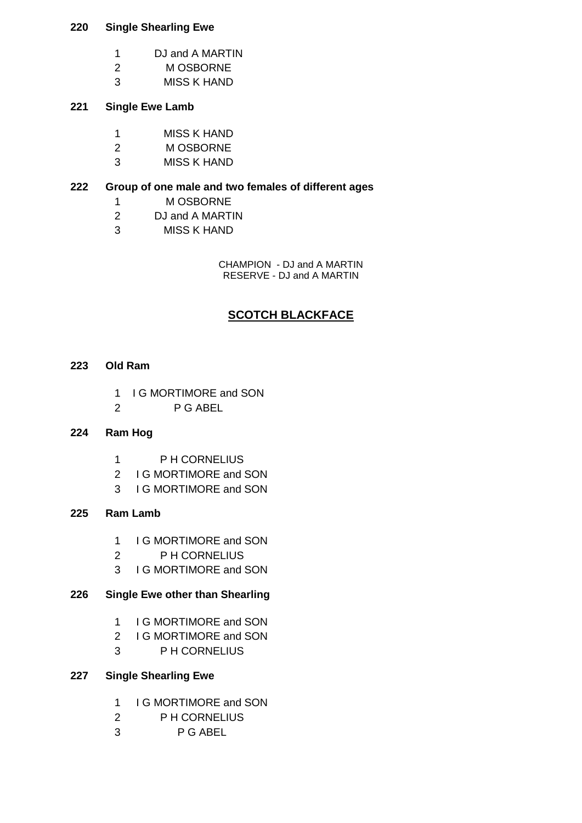## **Single Shearling Ewe**

- DJ and A MARTIN
- M OSBORNE
- MISS K HAND

## **Single Ewe Lamb**

- MISS K HAND
- M OSBORNE
- MISS K HAND

## **Group of one male and two females of different ages**

- M OSBORNE
- DJ and A MARTIN
- MISS K HAND

CHAMPION - DJ and A MARTIN RESERVE - DJ and A MARTIN

# **SCOTCH BLACKFACE**

#### **Old Ram**

- 1 I G MORTIMORE and SON
- P G ABEL

## **Ram Hog**

- P H CORNELIUS
- I G MORTIMORE and SON
- I G MORTIMORE and SON

## **Ram Lamb**

- 1 I G MORTIMORE and SON
- P H CORNELIUS
- I G MORTIMORE and SON

## **Single Ewe other than Shearling**

- 1 I G MORTIMORE and SON
- I G MORTIMORE and SON
- P H CORNELIUS

## **Single Shearling Ewe**

- 1 I G MORTIMORE and SON
- P H CORNELIUS
- P G ABEL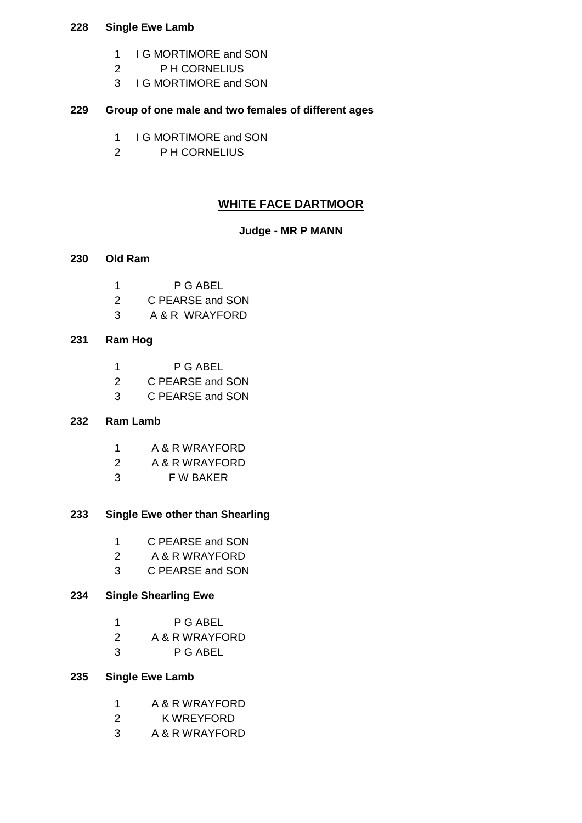## **Single Ewe Lamb**

- 1 I G MORTIMORE and SON
- P H CORNELIUS
- I G MORTIMORE and SON

## **Group of one male and two females of different ages**

- 1 I G MORTIMORE and SON
- P H CORNELIUS

## **WHITE FACE DARTMOOR**

## **Judge - MR P MANN**

#### **Old Ram**

- P G ABEL
- C PEARSE and SON
- A & R WRAYFORD

## **Ram Hog**

- P G ABEL
- C PEARSE and SON
- C PEARSE and SON

#### **Ram Lamb**

- A & R WRAYFORD
- A & R WRAYFORD
- F W BAKER

## **Single Ewe other than Shearling**

- C PEARSE and SON
- A & R WRAYFORD
- C PEARSE and SON

#### **Single Shearling Ewe**

- A & R WRAYFORD
- P G ABEL

## **Single Ewe Lamb**

- A & R WRAYFORD
- K WREYFORD
- A & R WRAYFORD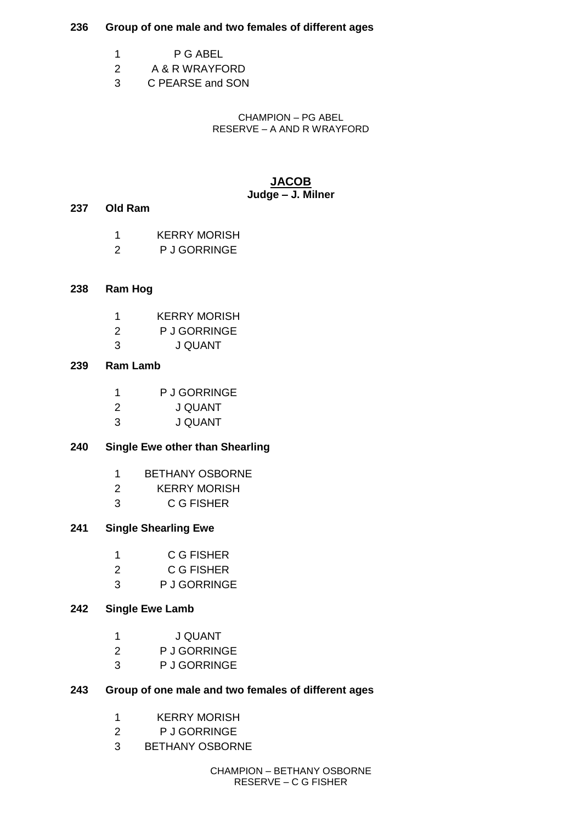### **Group of one male and two females of different ages**

- P G ABEL
- A & R WRAYFORD
- C PEARSE and SON

CHAMPION – PG ABEL RESERVE – A AND R WRAYFORD

## **JACOB Judge – J. Milner**

## **Old Ram**

- KERRY MORISH
- P J GORRINGE
- **Ram Hog**
	- KERRY MORISH
	- P J GORRINGE
	- J QUANT

## **Ram Lamb**

- P J GORRINGE
- J QUANT
- J QUANT

## **Single Ewe other than Shearling**

- BETHANY OSBORNE
- KERRY MORISH
- C G FISHER

## **Single Shearling Ewe**

- C G FISHER
- C G FISHER
- P J GORRINGE

## **Single Ewe Lamb**

- J QUANT
- P J GORRINGE
- P J GORRINGE

## **Group of one male and two females of different ages**

- KERRY MORISH
- P J GORRINGE
- BETHANY OSBORNE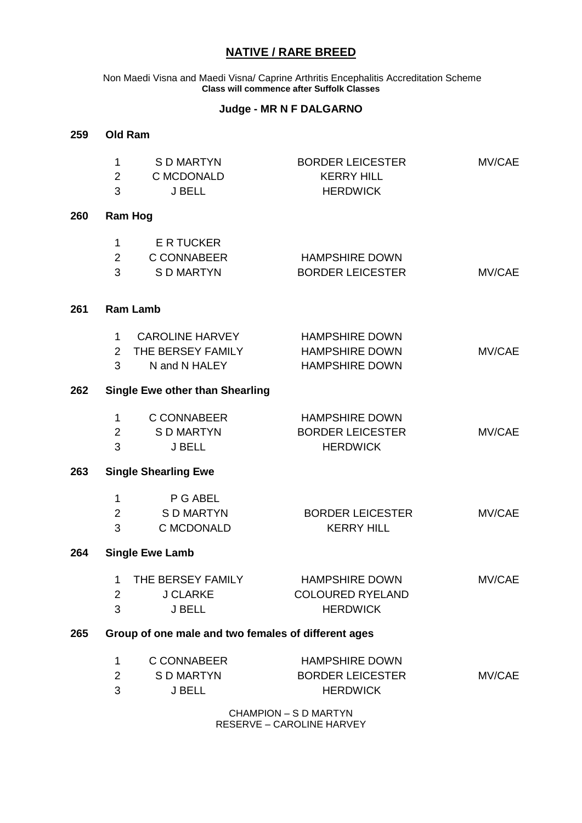# **NATIVE / RARE BREED**

Non Maedi Visna and Maedi Visna/ Caprine Arthritis Encephalitis Accreditation Scheme **Class will commence after Suffolk Classes**

#### **Judge - MR N F DALGARNO**

| 259                                                        | <b>Old Ram</b>              |                                                              |                                                                         |        |
|------------------------------------------------------------|-----------------------------|--------------------------------------------------------------|-------------------------------------------------------------------------|--------|
|                                                            | 1<br>$\overline{2}$<br>3    | S D MARTYN<br>C MCDONALD<br><b>J BELL</b>                    | <b>BORDER LEICESTER</b><br><b>KERRY HILL</b><br><b>HERDWICK</b>         | MV/CAE |
| 260                                                        |                             | <b>Ram Hog</b>                                               |                                                                         |        |
|                                                            | 1<br>$\overline{2}$<br>3    | E R TUCKER<br><b>C CONNABEER</b><br><b>SD MARTYN</b>         | <b>HAMPSHIRE DOWN</b><br><b>BORDER LEICESTER</b>                        | MV/CAE |
| 261                                                        |                             | <b>Ram Lamb</b>                                              |                                                                         |        |
|                                                            | 1<br>$\overline{2}$<br>3    | <b>CAROLINE HARVEY</b><br>THE BERSEY FAMILY<br>N and N HALEY | <b>HAMPSHIRE DOWN</b><br><b>HAMPSHIRE DOWN</b><br><b>HAMPSHIRE DOWN</b> | MV/CAE |
| 262                                                        |                             | <b>Single Ewe other than Shearling</b>                       |                                                                         |        |
|                                                            | 1<br>$\overline{2}$<br>3    | C CONNABEER<br>S D MARTYN<br><b>J BELL</b>                   | <b>HAMPSHIRE DOWN</b><br><b>BORDER LEICESTER</b><br><b>HERDWICK</b>     | MV/CAE |
| 263                                                        | <b>Single Shearling Ewe</b> |                                                              |                                                                         |        |
|                                                            | 1<br>$\overline{2}$<br>3    | P G ABEL<br><b>SD MARTYN</b><br>C MCDONALD                   | <b>BORDER LEICESTER</b><br><b>KERRY HILL</b>                            | MV/CAE |
| 264                                                        | <b>Single Ewe Lamb</b>      |                                                              |                                                                         |        |
|                                                            | 1<br>$\overline{2}$<br>3    | THE BERSEY FAMILY<br><b>J CLARKE</b><br>J BELL               | <b>HAMPSHIRE DOWN</b><br><b>COLOURED RYELAND</b><br><b>HERDWICK</b>     | MV/CAE |
| Group of one male and two females of different ages<br>265 |                             |                                                              |                                                                         |        |
|                                                            | 1<br>$\overline{2}$<br>3    | C CONNABEER<br><b>SD MARTYN</b><br>J BELL                    | <b>HAMPSHIRE DOWN</b><br><b>BORDER LEICESTER</b><br><b>HERDWICK</b>     | MV/CAE |
|                                                            |                             |                                                              | CHAMPION - S D MARTYN                                                   |        |

RESERVE – CAROLINE HARVEY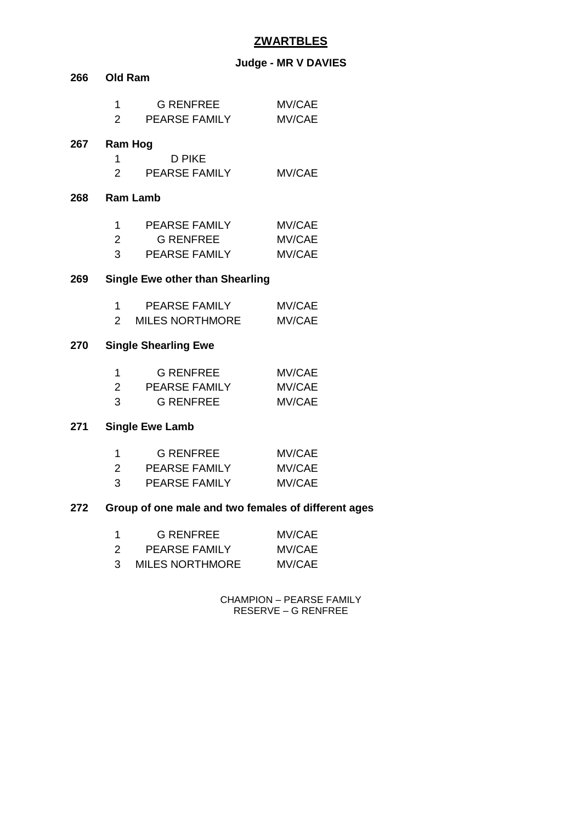# **ZWARTBLES**

# **Judge - MR V DAVIES**

| 266 | <b>Old Ram</b>                         |                                          |                  |
|-----|----------------------------------------|------------------------------------------|------------------|
|     | 1<br>$\overline{2}$                    | <b>G RENFREE</b><br><b>PEARSE FAMILY</b> | MV/CAE<br>MV/CAE |
| 267 |                                        | Ram Hog                                  |                  |
|     | 1                                      | <b>D PIKE</b>                            |                  |
|     |                                        | 2 PEARSE FAMILY                          | MV/CAE           |
| 268 |                                        | <b>Ram Lamb</b>                          |                  |
|     | 1                                      | PEARSE FAMILY                            | MV/CAE           |
|     | $\overline{2}$                         | <b>G RENFREE</b>                         | MV/CAE           |
|     | 3                                      | <b>PEARSE FAMILY</b>                     | <b>MV/CAE</b>    |
| 269 | <b>Single Ewe other than Shearling</b> |                                          |                  |
|     | 1                                      | PEARSE FAMILY                            | MV/CAE           |
|     | $\overline{2}$                         | MILES NORTHMORE                          | MV/CAE           |
| 270 |                                        | <b>Single Shearling Ewe</b>              |                  |
|     | 1                                      | <b>G RENFREE</b>                         | MV/CAE           |
|     | $\overline{2}$                         | PEARSE FAMILY                            | MV/CAE           |
|     | 3                                      | <b>G RENFREE</b>                         | MV/CAE           |
| 271 |                                        | <b>Single Ewe Lamb</b>                   |                  |

| -1 | G RENFREE            | MV/CAE |
|----|----------------------|--------|
| 2  | <b>PEARSE FAMILY</b> | MV/CAE |
| 3  | <b>PEARSE FAMILY</b> | MV/CAE |

## **Group of one male and two females of different ages**

| -1 | G RENFREE              | MV/CAE |
|----|------------------------|--------|
| 2  | <b>PEARSE FAMILY</b>   | MV/CAE |
| 3  | <b>MILES NORTHMORE</b> | MV/CAE |

CHAMPION – PEARSE FAMILY RESERVE – G RENFREE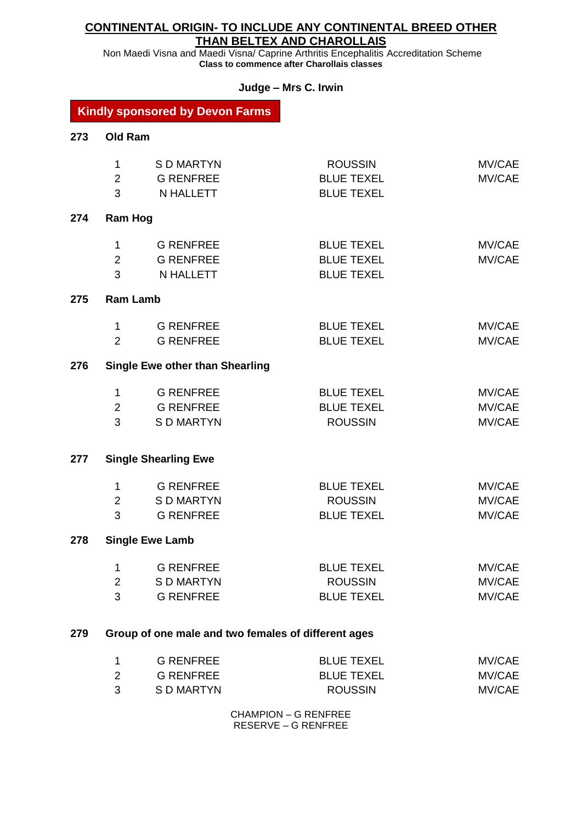## **CONTINENTAL ORIGIN- TO INCLUDE ANY CONTINENTAL BREED OTHER THAN BELTEX AND CHAROLLAIS**

Non Maedi Visna and Maedi Visna/ Caprine Arthritis Encephalitis Accreditation Scheme **Class to commence after Charollais classes**

## **Judge – Mrs C. Irwin**

## **Kindly sponsored by Devon Farms**

| 273 | <b>Old Ram</b>      |                                                     |                                        |        |
|-----|---------------------|-----------------------------------------------------|----------------------------------------|--------|
|     | 1                   | <b>SD MARTYN</b>                                    | <b>ROUSSIN</b>                         | MV/CAE |
|     | $\overline{2}$<br>3 | <b>G RENFREE</b><br>N HALLETT                       | <b>BLUE TEXEL</b><br><b>BLUE TEXEL</b> | MV/CAE |
|     |                     |                                                     |                                        |        |
| 274 | <b>Ram Hog</b>      |                                                     |                                        |        |
|     | 1                   | <b>G RENFREE</b>                                    | <b>BLUE TEXEL</b>                      | MV/CAE |
|     | $\overline{2}$      | <b>G RENFREE</b>                                    | <b>BLUE TEXEL</b>                      | MV/CAE |
|     | 3                   | <b>N HALLETT</b>                                    | <b>BLUE TEXEL</b>                      |        |
| 275 | <b>Ram Lamb</b>     |                                                     |                                        |        |
|     | 1                   | <b>G RENFREE</b>                                    | <b>BLUE TEXEL</b>                      | MV/CAE |
|     | $\overline{2}$      | <b>G RENFREE</b>                                    | <b>BLUE TEXEL</b>                      | MV/CAE |
| 276 |                     | <b>Single Ewe other than Shearling</b>              |                                        |        |
|     | 1                   | <b>G RENFREE</b>                                    | <b>BLUE TEXEL</b>                      | MV/CAE |
|     | $\overline{2}$      | <b>G RENFREE</b>                                    | <b>BLUE TEXEL</b>                      | MV/CAE |
|     | 3                   | <b>SD MARTYN</b>                                    | <b>ROUSSIN</b>                         | MV/CAE |
| 277 |                     | <b>Single Shearling Ewe</b>                         |                                        |        |
|     | 1                   | <b>G RENFREE</b>                                    | <b>BLUE TEXEL</b>                      | MV/CAE |
|     | $\overline{2}$      | <b>SD MARTYN</b>                                    | <b>ROUSSIN</b>                         | MV/CAE |
|     | 3                   | <b>G RENFREE</b>                                    | <b>BLUE TEXEL</b>                      | MV/CAE |
| 278 |                     | <b>Single Ewe Lamb</b>                              |                                        |        |
|     | 1                   | <b>G RENFREE</b>                                    | <b>BLUE TEXEL</b>                      | MV/CAE |
|     | 2                   | <b>SD MARTYN</b>                                    | <b>ROUSSIN</b>                         | MV/CAE |
|     | 3                   | <b>G RENFREE</b>                                    | <b>BLUE TEXEL</b>                      | MV/CAE |
| 279 |                     | Group of one male and two females of different ages |                                        |        |
|     | 1                   | <b>G RENFREE</b>                                    | <b>BLUE TEXEL</b>                      | MV/CAE |
|     | $\overline{2}$      | <b>G RENFREE</b>                                    | <b>BLUE TEXEL</b>                      | MV/CAE |

CHAMPION – G RENFREE RESERVE – G RENFREE

S D MARTYN ROUSSIN MV/CAE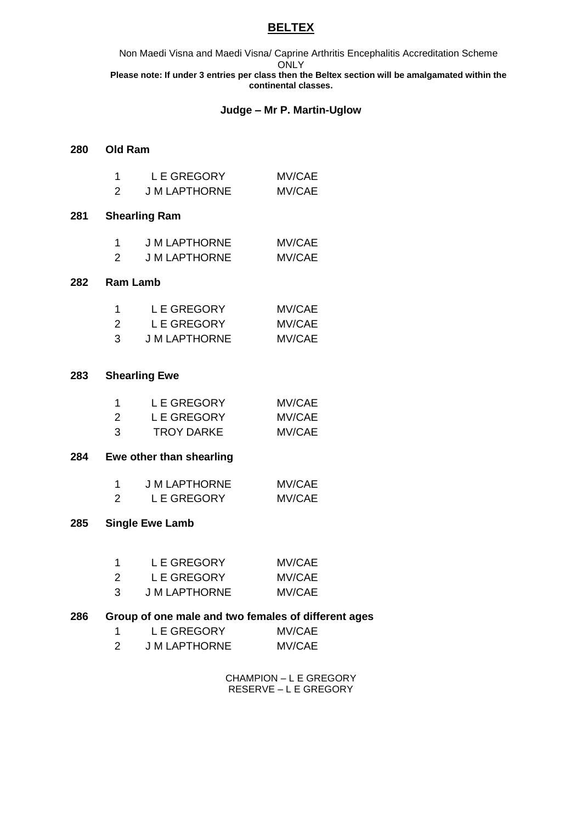## **BELTEX**

Non Maedi Visna and Maedi Visna/ Caprine Arthritis Encephalitis Accreditation Scheme **ONLY Please note: If under 3 entries per class then the Beltex section will be amalgamated within the continental classes.**

#### **Judge – Mr P. Martin-Uglow**

#### **Old Ram**

|   | <b>LE GREGORY</b>    | MV/CAE |
|---|----------------------|--------|
| 2 | <b>J M LAPTHORNE</b> | MV/CAE |

#### **Shearling Ram**

|   | <b>J M LAPTHORNE</b> | MV/CAE |
|---|----------------------|--------|
| 2 | <b>J M LAPTHORNE</b> | MV/CAE |

#### **Ram Lamb**

| 1 | L E GREGORY   | MV/CAE |
|---|---------------|--------|
| 2 | L E GREGORY   | MV/CAE |
| З | J M LAPTHORNE | MV/CAE |

#### **Shearling Ewe**

|   | L E GREGORY | MV/CAE |
|---|-------------|--------|
| 2 | L E GREGORY | MV/CAE |
| 3 | TROY DARKE  | MV/CAE |

#### **Ewe other than shearling**

|   | <b>J M LAPTHORNE</b> | MV/CAE |
|---|----------------------|--------|
| 2 | L E GREGORY          | MV/CAE |

#### **Single Ewe Lamb**

| -1 | L E GREGORY          | MV/CAE |
|----|----------------------|--------|
| 2  | <b>LE GREGORY</b>    | MV/CAE |
| 3  | <b>J M LAPTHORNE</b> | MV/CAE |

## **Group of one male and two females of different ages**

| L E GREGORY   | MV/CAE |
|---------------|--------|
| J M LAPTHORNE | MV/CAE |

CHAMPION – L E GREGORY RESERVE – L E GREGORY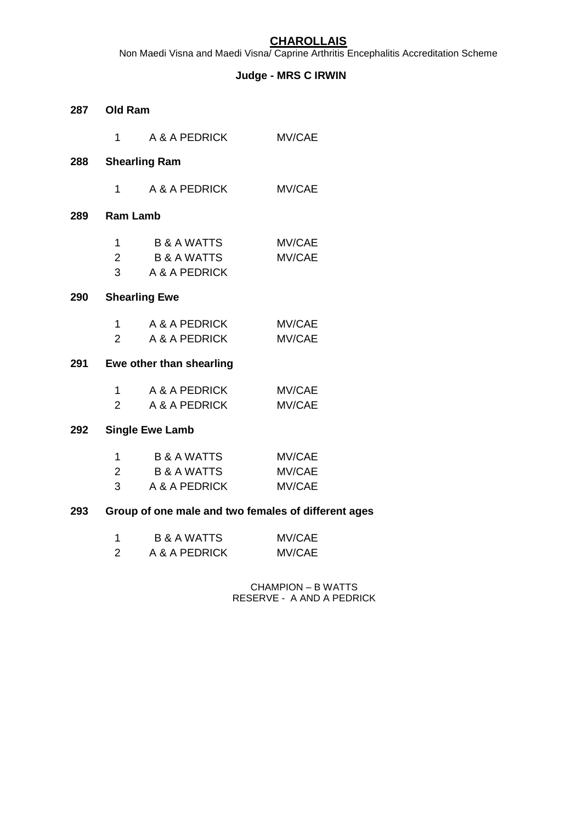# **CHAROLLAIS**

Non Maedi Visna and Maedi Visna/ Caprine Arthritis Encephalitis Accreditation Scheme

## **Judge - MRS C IRWIN**

|     | 287 Old Ram                                      |                                                     |                  |  |
|-----|--------------------------------------------------|-----------------------------------------------------|------------------|--|
|     | $1 \quad$                                        | A & A PEDRICK                                       | MV/CAE           |  |
| 288 |                                                  | <b>Shearling Ram</b>                                |                  |  |
|     | $1 \quad$                                        | A & A PEDRICK                                       | MV/CAE           |  |
| 289 | <b>Ram Lamb</b>                                  |                                                     |                  |  |
|     | 1                                                | B & A WATTS<br>2 B & A WATTS<br>3 A & A PEDRICK     | MV/CAE<br>MV/CAE |  |
| 290 |                                                  | <b>Shearling Ewe</b>                                |                  |  |
|     |                                                  | 1 A & A PEDRICK<br>2 A & A PEDRICK                  | MV/CAE<br>MV/CAE |  |
| 291 |                                                  | Ewe other than shearling                            |                  |  |
|     | $1 \quad$                                        | A & A PEDRICK<br>2 A & A PEDRICK                    | MV/CAE<br>MV/CAE |  |
| 292 |                                                  | <b>Single Ewe Lamb</b>                              |                  |  |
|     | $\mathbf{1}$<br>$\overline{2}$<br>3 <sup>1</sup> | B & A WATTS<br>B & A WATTS MV/CAE<br>A & A PEDRICK  | MV/CAE<br>MV/CAE |  |
| 293 |                                                  | Group of one male and two females of different ages |                  |  |
|     | 1                                                | <b>B &amp; A WATTS</b>                              | MV/CAE           |  |

|   | <b>BAAWAIIS</b> | <b>IVIV/UAE</b> |
|---|-----------------|-----------------|
| 2 | A & A PEDRICK   | MV/CAE          |

CHAMPION – B WATTS RESERVE - A AND A PEDRICK